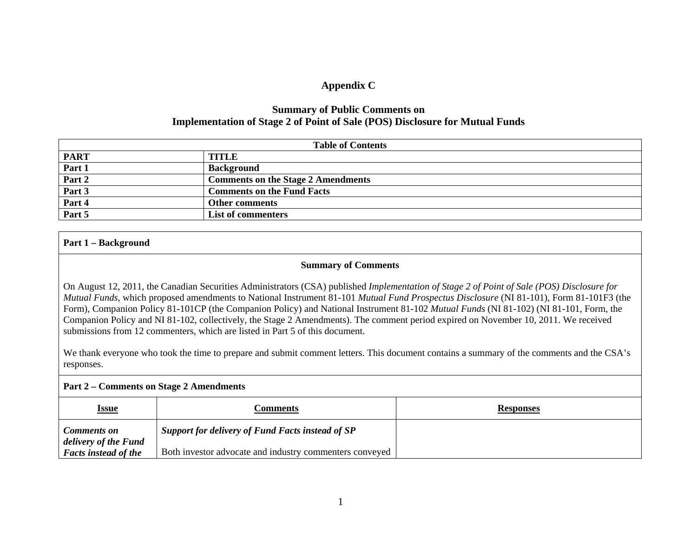# **Appendix C**

## **Summary of Public Comments on Implementation of Stage 2 of Point of Sale (POS) Disclosure for Mutual Funds**

| <b>Table of Contents</b> |                                           |  |
|--------------------------|-------------------------------------------|--|
| <b>PART</b>              | <b>TITLE</b>                              |  |
| Part 1                   | <b>Background</b>                         |  |
| Part 2                   | <b>Comments on the Stage 2 Amendments</b> |  |
| Part 3                   | <b>Comments on the Fund Facts</b>         |  |
| Part 4                   | <b>Other comments</b>                     |  |
| Part 5                   | <b>List of commenters</b>                 |  |

### **Part 1 – Background**

#### **Summary of Comments**

On August 12, 2011, the Canadian Securities Administrators (CSA) published *Implementation of Stage 2 of Point of Sale (POS) Disclosure for Mutual Funds*, which proposed amendments to National Instrument 81-101 *Mutual Fund Prospectus Disclosure* (NI 81-101), Form 81-101F3 (the Form), Companion Policy 81-101CP (the Companion Policy) and National Instrument 81-102 *Mutual Funds* (NI 81-102) (NI 81-101, Form, the Companion Policy and NI 81-102, collectively, the Stage 2 Amendments). The comment period expired on November 10, 2011. We received submissions from 12 commenters, which are listed in Part 5 of this document.

We thank everyone who took the time to prepare and submit comment letters. This document contains a summary of the comments and the CSA's responses.

#### **Part 2 – Comments on Stage 2 Amendments**

| <u>Issue</u>                               | Comments                                                | <b>Responses</b> |
|--------------------------------------------|---------------------------------------------------------|------------------|
| <b>Comments on</b><br>delivery of the Fund | <b>Support for delivery of Fund Facts instead of SP</b> |                  |
| <b>Facts instead of the</b>                | Both investor advocate and industry commenters conveyed |                  |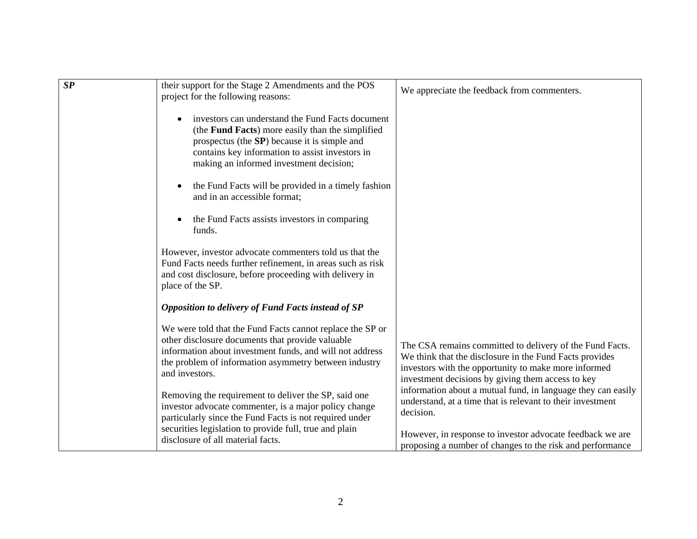| $\overline{SP}$ | their support for the Stage 2 Amendments and the POS<br>project for the following reasons:                                                                                                                                                                              | We appreciate the feedback from commenters.                                                                                                                                                                                                                       |
|-----------------|-------------------------------------------------------------------------------------------------------------------------------------------------------------------------------------------------------------------------------------------------------------------------|-------------------------------------------------------------------------------------------------------------------------------------------------------------------------------------------------------------------------------------------------------------------|
|                 | investors can understand the Fund Facts document<br>(the <b>Fund Facts</b> ) more easily than the simplified<br>prospectus (the SP) because it is simple and<br>contains key information to assist investors in<br>making an informed investment decision;              |                                                                                                                                                                                                                                                                   |
|                 | the Fund Facts will be provided in a timely fashion<br>$\bullet$<br>and in an accessible format;                                                                                                                                                                        |                                                                                                                                                                                                                                                                   |
|                 | the Fund Facts assists investors in comparing<br>$\bullet$<br>funds.                                                                                                                                                                                                    |                                                                                                                                                                                                                                                                   |
|                 | However, investor advocate commenters told us that the<br>Fund Facts needs further refinement, in areas such as risk<br>and cost disclosure, before proceeding with delivery in<br>place of the SP.                                                                     |                                                                                                                                                                                                                                                                   |
|                 | <b>Opposition to delivery of Fund Facts instead of SP</b>                                                                                                                                                                                                               |                                                                                                                                                                                                                                                                   |
|                 | We were told that the Fund Facts cannot replace the SP or<br>other disclosure documents that provide valuable<br>information about investment funds, and will not address<br>the problem of information asymmetry between industry<br>and investors.                    | The CSA remains committed to delivery of the Fund Facts.<br>We think that the disclosure in the Fund Facts provides<br>investors with the opportunity to make more informed<br>investment decisions by giving them access to key                                  |
|                 | Removing the requirement to deliver the SP, said one<br>investor advocate commenter, is a major policy change<br>particularly since the Fund Facts is not required under<br>securities legislation to provide full, true and plain<br>disclosure of all material facts. | information about a mutual fund, in language they can easily<br>understand, at a time that is relevant to their investment<br>decision.<br>However, in response to investor advocate feedback we are<br>proposing a number of changes to the risk and performance |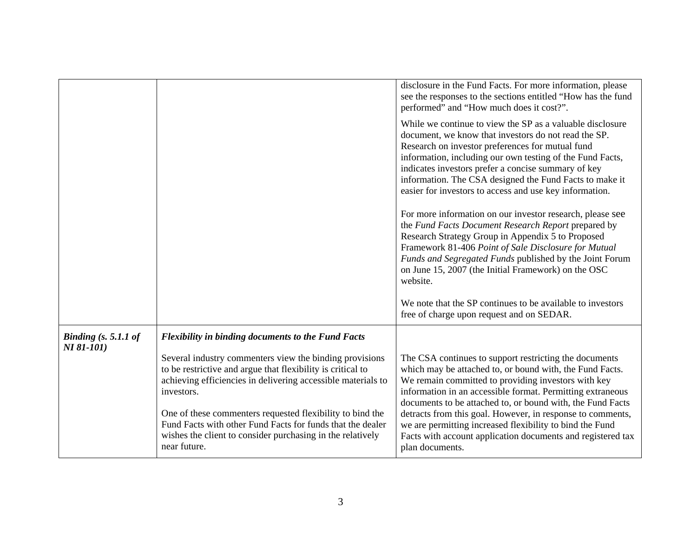|                                      |                                                                                                                                                                                                                                                                                                                                                                                                               | disclosure in the Fund Facts. For more information, please<br>see the responses to the sections entitled "How has the fund<br>performed" and "How much does it cost?".                                                                                                                                                                                                                                                                                                                                            |
|--------------------------------------|---------------------------------------------------------------------------------------------------------------------------------------------------------------------------------------------------------------------------------------------------------------------------------------------------------------------------------------------------------------------------------------------------------------|-------------------------------------------------------------------------------------------------------------------------------------------------------------------------------------------------------------------------------------------------------------------------------------------------------------------------------------------------------------------------------------------------------------------------------------------------------------------------------------------------------------------|
|                                      |                                                                                                                                                                                                                                                                                                                                                                                                               | While we continue to view the SP as a valuable disclosure<br>document, we know that investors do not read the SP.<br>Research on investor preferences for mutual fund<br>information, including our own testing of the Fund Facts,<br>indicates investors prefer a concise summary of key<br>information. The CSA designed the Fund Facts to make it<br>easier for investors to access and use key information.                                                                                                   |
|                                      |                                                                                                                                                                                                                                                                                                                                                                                                               | For more information on our investor research, please see<br>the Fund Facts Document Research Report prepared by<br>Research Strategy Group in Appendix 5 to Proposed<br>Framework 81-406 Point of Sale Disclosure for Mutual<br>Funds and Segregated Funds published by the Joint Forum<br>on June 15, 2007 (the Initial Framework) on the OSC<br>website.                                                                                                                                                       |
|                                      |                                                                                                                                                                                                                                                                                                                                                                                                               | We note that the SP continues to be available to investors<br>free of charge upon request and on SEDAR.                                                                                                                                                                                                                                                                                                                                                                                                           |
| Binding $(s, 5.1.1$ of<br>NI 81-101) | <b>Flexibility in binding documents to the Fund Facts</b>                                                                                                                                                                                                                                                                                                                                                     |                                                                                                                                                                                                                                                                                                                                                                                                                                                                                                                   |
|                                      | Several industry commenters view the binding provisions<br>to be restrictive and argue that flexibility is critical to<br>achieving efficiencies in delivering accessible materials to<br>investors.<br>One of these commenters requested flexibility to bind the<br>Fund Facts with other Fund Facts for funds that the dealer<br>wishes the client to consider purchasing in the relatively<br>near future. | The CSA continues to support restricting the documents<br>which may be attached to, or bound with, the Fund Facts.<br>We remain committed to providing investors with key<br>information in an accessible format. Permitting extraneous<br>documents to be attached to, or bound with, the Fund Facts<br>detracts from this goal. However, in response to comments,<br>we are permitting increased flexibility to bind the Fund<br>Facts with account application documents and registered tax<br>plan documents. |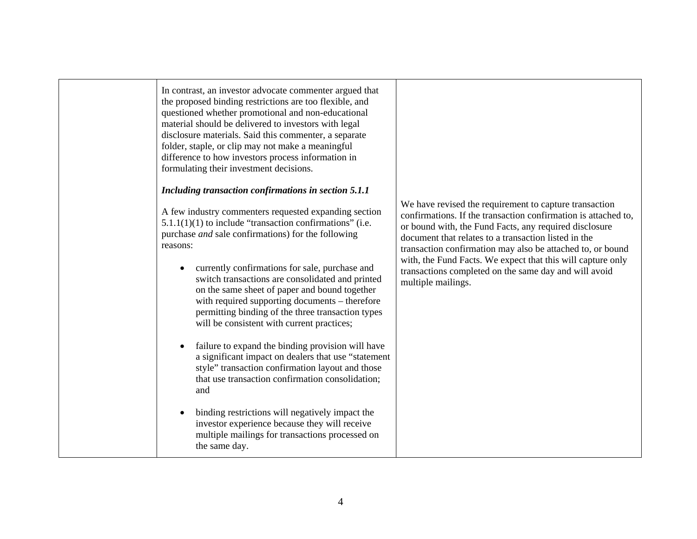In contrast, an investor advocate commenter argued that the proposed binding restrictions are too flexible, and questioned whether promotional and non-educational material should be delivered to investors with legal disclosure materials. Said this commenter, a separate folder, staple, or clip may not make a meaningful difference to how investors process information in formulating their investment decisions.

## *Including transaction confirmations in section 5.1.1*

A few industry commenters requested expanding section  $5.1.1(1)(1)$  to include "transaction confirmations" (i.e. purchase *and* sale confirmations) for the following reasons:

- currently confirmations for sale, purchase and switch transactions are consolidated and printed on the same sheet of paper and bound together with required supporting documents – therefore permitting binding of the three transaction types will be consistent with current practices;
- . failure to expand the binding provision will have a significant impact on dealers that use "statement style" transaction confirmation layout and those that use transaction confirmation consolidation; and
- $\bullet$  binding restrictions will negatively impact the investor experience because they will receive multiple mailings for transactions processed on the same day.

We have revised the requirement to capture transaction confirmations. If the transaction confirmation is attached to, or bound with, the Fund Facts, any required disclosure document that relates to a transaction listed in the transaction confirmation may also be attached to, or bound with, the Fund Facts. We expect that this will capture only transactions completed on the same day and will avoid multiple mailings.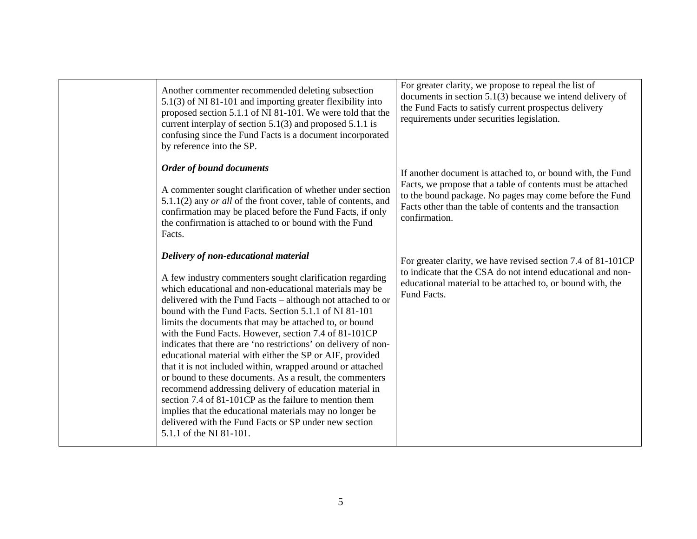| Another commenter recommended deleting subsection<br>$5.1(3)$ of NI 81-101 and importing greater flexibility into<br>proposed section 5.1.1 of NI 81-101. We were told that the<br>current interplay of section $5.1(3)$ and proposed $5.1.1$ is<br>confusing since the Fund Facts is a document incorporated<br>by reference into the SP.                                                                                                                                                                                                                                                                                                                                                                                                                                                                                                                                                                                       | For greater clarity, we propose to repeal the list of<br>documents in section $5.1(3)$ because we intend delivery of<br>the Fund Facts to satisfy current prospectus delivery<br>requirements under securities legislation.                                          |
|----------------------------------------------------------------------------------------------------------------------------------------------------------------------------------------------------------------------------------------------------------------------------------------------------------------------------------------------------------------------------------------------------------------------------------------------------------------------------------------------------------------------------------------------------------------------------------------------------------------------------------------------------------------------------------------------------------------------------------------------------------------------------------------------------------------------------------------------------------------------------------------------------------------------------------|----------------------------------------------------------------------------------------------------------------------------------------------------------------------------------------------------------------------------------------------------------------------|
| <b>Order of bound documents</b><br>A commenter sought clarification of whether under section<br>$5.1.1(2)$ any <i>or all</i> of the front cover, table of contents, and<br>confirmation may be placed before the Fund Facts, if only<br>the confirmation is attached to or bound with the Fund<br>Facts.                                                                                                                                                                                                                                                                                                                                                                                                                                                                                                                                                                                                                         | If another document is attached to, or bound with, the Fund<br>Facts, we propose that a table of contents must be attached<br>to the bound package. No pages may come before the Fund<br>Facts other than the table of contents and the transaction<br>confirmation. |
| Delivery of non-educational material<br>A few industry commenters sought clarification regarding<br>which educational and non-educational materials may be<br>delivered with the Fund Facts – although not attached to or<br>bound with the Fund Facts. Section 5.1.1 of NI 81-101<br>limits the documents that may be attached to, or bound<br>with the Fund Facts. However, section 7.4 of 81-101CP<br>indicates that there are 'no restrictions' on delivery of non-<br>educational material with either the SP or AIF, provided<br>that it is not included within, wrapped around or attached<br>or bound to these documents. As a result, the commenters<br>recommend addressing delivery of education material in<br>section 7.4 of 81-101CP as the failure to mention them<br>implies that the educational materials may no longer be<br>delivered with the Fund Facts or SP under new section<br>5.1.1 of the NI 81-101. | For greater clarity, we have revised section 7.4 of 81-101CP<br>to indicate that the CSA do not intend educational and non-<br>educational material to be attached to, or bound with, the<br>Fund Facts.                                                             |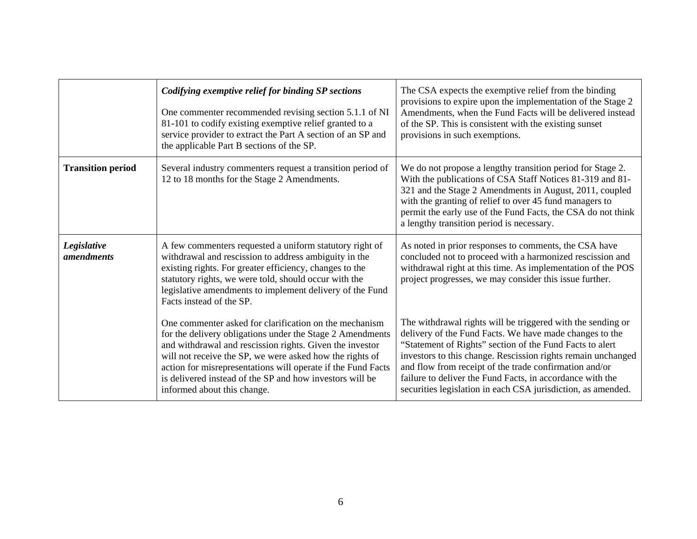|                                  | Codifying exemptive relief for binding SP sections<br>One commenter recommended revising section 5.1.1 of NI<br>81-101 to codify existing exemptive relief granted to a<br>service provider to extract the Part A section of an SP and<br>the applicable Part B sections of the SP.                                                                                                                    | The CSA expects the exemptive relief from the binding<br>provisions to expire upon the implementation of the Stage 2<br>Amendments, when the Fund Facts will be delivered instead<br>of the SP. This is consistent with the existing sunset<br>provisions in such exemptions.                                                                                                                                                             |
|----------------------------------|--------------------------------------------------------------------------------------------------------------------------------------------------------------------------------------------------------------------------------------------------------------------------------------------------------------------------------------------------------------------------------------------------------|-------------------------------------------------------------------------------------------------------------------------------------------------------------------------------------------------------------------------------------------------------------------------------------------------------------------------------------------------------------------------------------------------------------------------------------------|
| <b>Transition period</b>         | Several industry commenters request a transition period of<br>12 to 18 months for the Stage 2 Amendments.                                                                                                                                                                                                                                                                                              | We do not propose a lengthy transition period for Stage 2.<br>With the publications of CSA Staff Notices 81-319 and 81-<br>321 and the Stage 2 Amendments in August, 2011, coupled<br>with the granting of relief to over 45 fund managers to<br>permit the early use of the Fund Facts, the CSA do not think<br>a lengthy transition period is necessary.                                                                                |
| Legislative<br><i>amendments</i> | A few commenters requested a uniform statutory right of<br>withdrawal and rescission to address ambiguity in the<br>existing rights. For greater efficiency, changes to the<br>statutory rights, we were told, should occur with the<br>legislative amendments to implement delivery of the Fund<br>Facts instead of the SP.                                                                           | As noted in prior responses to comments, the CSA have<br>concluded not to proceed with a harmonized rescission and<br>withdrawal right at this time. As implementation of the POS<br>project progresses, we may consider this issue further.                                                                                                                                                                                              |
|                                  | One commenter asked for clarification on the mechanism<br>for the delivery obligations under the Stage 2 Amendments<br>and withdrawal and rescission rights. Given the investor<br>will not receive the SP, we were asked how the rights of<br>action for misrepresentations will operate if the Fund Facts<br>is delivered instead of the SP and how investors will be<br>informed about this change. | The withdrawal rights will be triggered with the sending or<br>delivery of the Fund Facts. We have made changes to the<br>"Statement of Rights" section of the Fund Facts to alert<br>investors to this change. Rescission rights remain unchanged<br>and flow from receipt of the trade confirmation and/or<br>failure to deliver the Fund Facts, in accordance with the<br>securities legislation in each CSA jurisdiction, as amended. |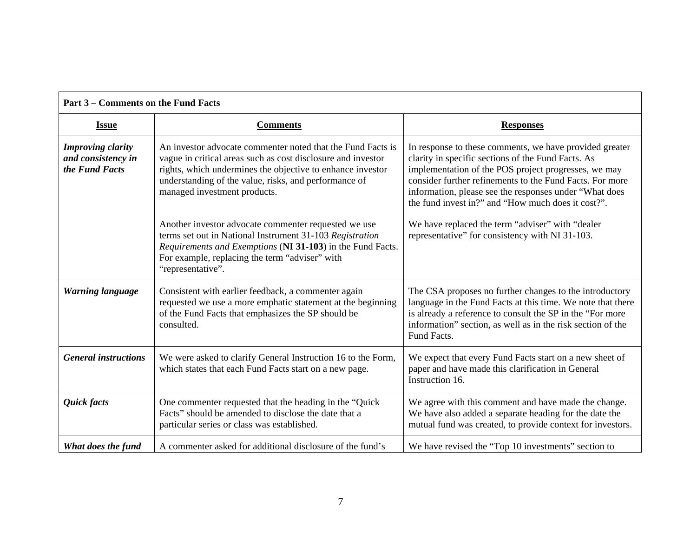| Part 3 – Comments on the Fund Facts                              |                                                                                                                                                                                                                                                                                    |                                                                                                                                                                                                                                                                                                                                                   |
|------------------------------------------------------------------|------------------------------------------------------------------------------------------------------------------------------------------------------------------------------------------------------------------------------------------------------------------------------------|---------------------------------------------------------------------------------------------------------------------------------------------------------------------------------------------------------------------------------------------------------------------------------------------------------------------------------------------------|
| <b>Issue</b>                                                     | <b>Comments</b>                                                                                                                                                                                                                                                                    | <b>Responses</b>                                                                                                                                                                                                                                                                                                                                  |
| <b>Improving clarity</b><br>and consistency in<br>the Fund Facts | An investor advocate commenter noted that the Fund Facts is<br>vague in critical areas such as cost disclosure and investor<br>rights, which undermines the objective to enhance investor<br>understanding of the value, risks, and performance of<br>managed investment products. | In response to these comments, we have provided greater<br>clarity in specific sections of the Fund Facts. As<br>implementation of the POS project progresses, we may<br>consider further refinements to the Fund Facts. For more<br>information, please see the responses under "What does<br>the fund invest in?" and "How much does it cost?". |
|                                                                  | Another investor advocate commenter requested we use<br>terms set out in National Instrument 31-103 Registration<br>Requirements and Exemptions (NI 31-103) in the Fund Facts.<br>For example, replacing the term "adviser" with<br>"representative".                              | We have replaced the term "adviser" with "dealer<br>representative" for consistency with NI 31-103.                                                                                                                                                                                                                                               |
| Warning language                                                 | Consistent with earlier feedback, a commenter again<br>requested we use a more emphatic statement at the beginning<br>of the Fund Facts that emphasizes the SP should be<br>consulted.                                                                                             | The CSA proposes no further changes to the introductory<br>language in the Fund Facts at this time. We note that there<br>is already a reference to consult the SP in the "For more<br>information" section, as well as in the risk section of the<br>Fund Facts.                                                                                 |
| <b>General instructions</b>                                      | We were asked to clarify General Instruction 16 to the Form,<br>which states that each Fund Facts start on a new page.                                                                                                                                                             | We expect that every Fund Facts start on a new sheet of<br>paper and have made this clarification in General<br>Instruction 16.                                                                                                                                                                                                                   |
| Quick facts                                                      | One commenter requested that the heading in the "Quick"<br>Facts" should be amended to disclose the date that a<br>particular series or class was established.                                                                                                                     | We agree with this comment and have made the change.<br>We have also added a separate heading for the date the<br>mutual fund was created, to provide context for investors.                                                                                                                                                                      |
| What does the fund                                               | A commenter asked for additional disclosure of the fund's                                                                                                                                                                                                                          | We have revised the "Top 10 investments" section to                                                                                                                                                                                                                                                                                               |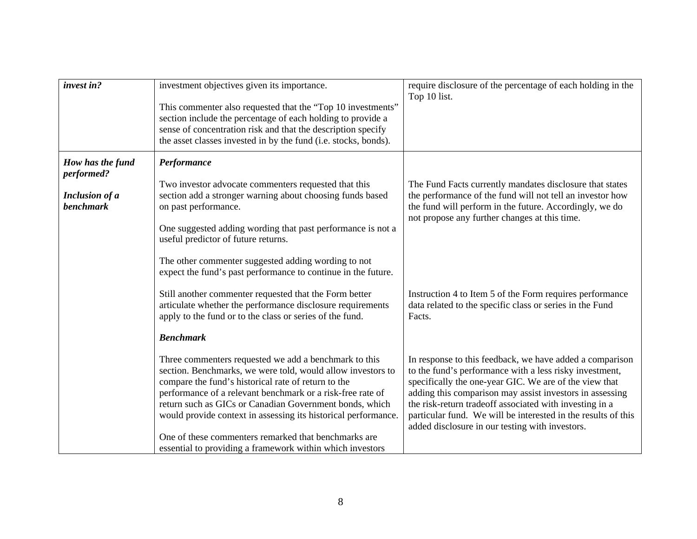| invest in?                                | investment objectives given its importance.                                                                                                                                                                                                                                                                                                                            | require disclosure of the percentage of each holding in the                                                                                                                                                                                                                                                                                                                                                              |
|-------------------------------------------|------------------------------------------------------------------------------------------------------------------------------------------------------------------------------------------------------------------------------------------------------------------------------------------------------------------------------------------------------------------------|--------------------------------------------------------------------------------------------------------------------------------------------------------------------------------------------------------------------------------------------------------------------------------------------------------------------------------------------------------------------------------------------------------------------------|
|                                           | This commenter also requested that the "Top 10 investments"<br>section include the percentage of each holding to provide a<br>sense of concentration risk and that the description specify<br>the asset classes invested in by the fund (i.e. stocks, bonds).                                                                                                          | Top 10 list.                                                                                                                                                                                                                                                                                                                                                                                                             |
| How has the fund<br>performed?            | Performance                                                                                                                                                                                                                                                                                                                                                            |                                                                                                                                                                                                                                                                                                                                                                                                                          |
|                                           | Two investor advocate commenters requested that this                                                                                                                                                                                                                                                                                                                   | The Fund Facts currently mandates disclosure that states                                                                                                                                                                                                                                                                                                                                                                 |
| <b>Inclusion of a</b><br><b>benchmark</b> | section add a stronger warning about choosing funds based<br>on past performance.                                                                                                                                                                                                                                                                                      | the performance of the fund will not tell an investor how<br>the fund will perform in the future. Accordingly, we do<br>not propose any further changes at this time.                                                                                                                                                                                                                                                    |
|                                           | One suggested adding wording that past performance is not a<br>useful predictor of future returns.                                                                                                                                                                                                                                                                     |                                                                                                                                                                                                                                                                                                                                                                                                                          |
|                                           | The other commenter suggested adding wording to not<br>expect the fund's past performance to continue in the future.                                                                                                                                                                                                                                                   |                                                                                                                                                                                                                                                                                                                                                                                                                          |
|                                           | Still another commenter requested that the Form better<br>articulate whether the performance disclosure requirements<br>apply to the fund or to the class or series of the fund.                                                                                                                                                                                       | Instruction 4 to Item 5 of the Form requires performance<br>data related to the specific class or series in the Fund<br>Facts.                                                                                                                                                                                                                                                                                           |
|                                           | <b>Benchmark</b>                                                                                                                                                                                                                                                                                                                                                       |                                                                                                                                                                                                                                                                                                                                                                                                                          |
|                                           | Three commenters requested we add a benchmark to this<br>section. Benchmarks, we were told, would allow investors to<br>compare the fund's historical rate of return to the<br>performance of a relevant benchmark or a risk-free rate of<br>return such as GICs or Canadian Government bonds, which<br>would provide context in assessing its historical performance. | In response to this feedback, we have added a comparison<br>to the fund's performance with a less risky investment,<br>specifically the one-year GIC. We are of the view that<br>adding this comparison may assist investors in assessing<br>the risk-return tradeoff associated with investing in a<br>particular fund. We will be interested in the results of this<br>added disclosure in our testing with investors. |
|                                           | One of these commenters remarked that benchmarks are<br>essential to providing a framework within which investors                                                                                                                                                                                                                                                      |                                                                                                                                                                                                                                                                                                                                                                                                                          |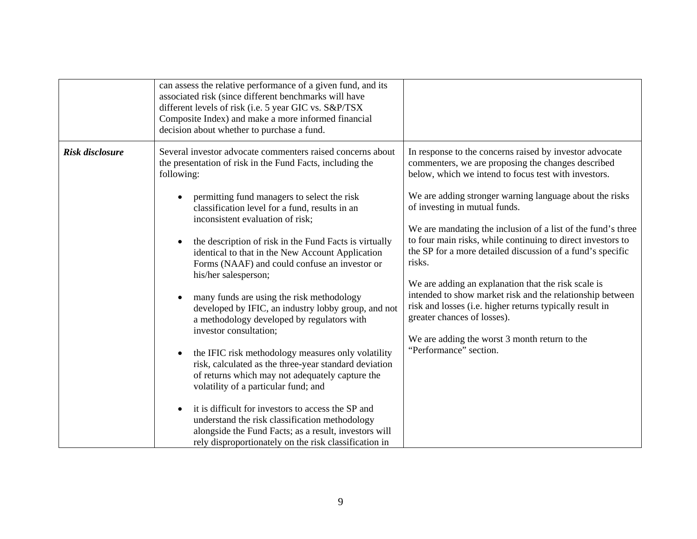|                        | can assess the relative performance of a given fund, and its<br>associated risk (since different benchmarks will have<br>different levels of risk (i.e. 5 year GIC vs. S&P/TSX<br>Composite Index) and make a more informed financial<br>decision about whether to purchase a fund.                                            |                                                                                                                                                                                                                                                                   |
|------------------------|--------------------------------------------------------------------------------------------------------------------------------------------------------------------------------------------------------------------------------------------------------------------------------------------------------------------------------|-------------------------------------------------------------------------------------------------------------------------------------------------------------------------------------------------------------------------------------------------------------------|
| <b>Risk disclosure</b> | Several investor advocate commenters raised concerns about<br>the presentation of risk in the Fund Facts, including the<br>following:<br>permitting fund managers to select the risk<br>classification level for a fund, results in an                                                                                         | In response to the concerns raised by investor advocate<br>commenters, we are proposing the changes described<br>below, which we intend to focus test with investors.<br>We are adding stronger warning language about the risks<br>of investing in mutual funds. |
|                        | inconsistent evaluation of risk;<br>the description of risk in the Fund Facts is virtually<br>$\bullet$<br>identical to that in the New Account Application<br>Forms (NAAF) and could confuse an investor or<br>his/her salesperson;                                                                                           | We are mandating the inclusion of a list of the fund's three<br>to four main risks, while continuing to direct investors to<br>the SP for a more detailed discussion of a fund's specific<br>risks.<br>We are adding an explanation that the risk scale is        |
|                        | many funds are using the risk methodology<br>$\bullet$<br>developed by IFIC, an industry lobby group, and not<br>a methodology developed by regulators with<br>investor consultation;<br>the IFIC risk methodology measures only volatility<br>$\bullet$<br>risk, calculated as the three-year standard deviation              | intended to show market risk and the relationship between<br>risk and losses (i.e. higher returns typically result in<br>greater chances of losses).<br>We are adding the worst 3 month return to the<br>"Performance" section.                                   |
|                        | of returns which may not adequately capture the<br>volatility of a particular fund; and<br>it is difficult for investors to access the SP and<br>$\bullet$<br>understand the risk classification methodology<br>alongside the Fund Facts; as a result, investors will<br>rely disproportionately on the risk classification in |                                                                                                                                                                                                                                                                   |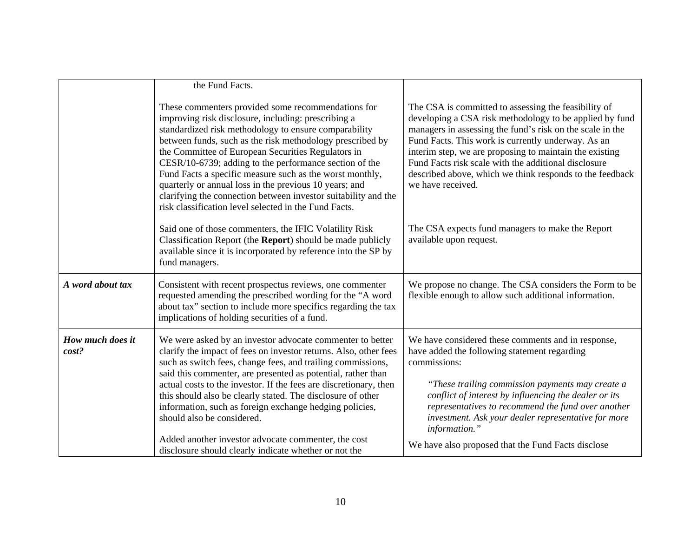|                           | the Fund Facts.                                                                                                                                                                                                                                                                                                                                                                                                                                                                                                                                                                                  |                                                                                                                                                                                                                                                                                                                                                                                                                                        |
|---------------------------|--------------------------------------------------------------------------------------------------------------------------------------------------------------------------------------------------------------------------------------------------------------------------------------------------------------------------------------------------------------------------------------------------------------------------------------------------------------------------------------------------------------------------------------------------------------------------------------------------|----------------------------------------------------------------------------------------------------------------------------------------------------------------------------------------------------------------------------------------------------------------------------------------------------------------------------------------------------------------------------------------------------------------------------------------|
|                           | These commenters provided some recommendations for<br>improving risk disclosure, including: prescribing a<br>standardized risk methodology to ensure comparability<br>between funds, such as the risk methodology prescribed by<br>the Committee of European Securities Regulators in<br>CESR/10-6739; adding to the performance section of the<br>Fund Facts a specific measure such as the worst monthly,<br>quarterly or annual loss in the previous 10 years; and<br>clarifying the connection between investor suitability and the<br>risk classification level selected in the Fund Facts. | The CSA is committed to assessing the feasibility of<br>developing a CSA risk methodology to be applied by fund<br>managers in assessing the fund's risk on the scale in the<br>Fund Facts. This work is currently underway. As an<br>interim step, we are proposing to maintain the existing<br>Fund Facts risk scale with the additional disclosure<br>described above, which we think responds to the feedback<br>we have received. |
|                           | Said one of those commenters, the IFIC Volatility Risk<br>Classification Report (the Report) should be made publicly<br>available since it is incorporated by reference into the SP by<br>fund managers.                                                                                                                                                                                                                                                                                                                                                                                         | The CSA expects fund managers to make the Report<br>available upon request.                                                                                                                                                                                                                                                                                                                                                            |
| A word about tax          | Consistent with recent prospectus reviews, one commenter<br>requested amending the prescribed wording for the "A word<br>about tax" section to include more specifics regarding the tax<br>implications of holding securities of a fund.                                                                                                                                                                                                                                                                                                                                                         | We propose no change. The CSA considers the Form to be<br>flexible enough to allow such additional information.                                                                                                                                                                                                                                                                                                                        |
| How much does it<br>cost? | We were asked by an investor advocate commenter to better<br>clarify the impact of fees on investor returns. Also, other fees<br>such as switch fees, change fees, and trailing commissions,<br>said this commenter, are presented as potential, rather than<br>actual costs to the investor. If the fees are discretionary, then<br>this should also be clearly stated. The disclosure of other<br>information, such as foreign exchange hedging policies,<br>should also be considered.                                                                                                        | We have considered these comments and in response,<br>have added the following statement regarding<br>commissions:<br>"These trailing commission payments may create a<br>conflict of interest by influencing the dealer or its<br>representatives to recommend the fund over another<br>investment. Ask your dealer representative for more<br>information."                                                                          |
|                           | Added another investor advocate commenter, the cost<br>disclosure should clearly indicate whether or not the                                                                                                                                                                                                                                                                                                                                                                                                                                                                                     | We have also proposed that the Fund Facts disclose                                                                                                                                                                                                                                                                                                                                                                                     |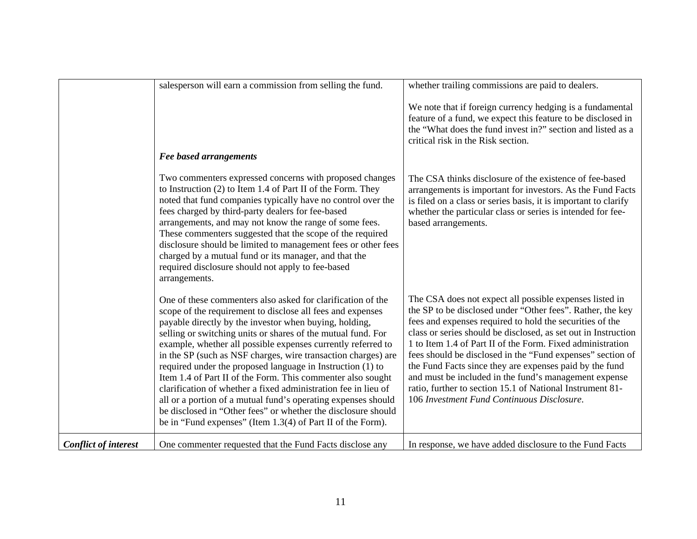|                             | salesperson will earn a commission from selling the fund.                                                                                                                                                                                                                                                                                                                                                                                                                                                                                                                                                                                                                                                                                                                              | whether trailing commissions are paid to dealers.                                                                                                                                                                                                                                                                                                                                                                                                                                                                                                                                                              |
|-----------------------------|----------------------------------------------------------------------------------------------------------------------------------------------------------------------------------------------------------------------------------------------------------------------------------------------------------------------------------------------------------------------------------------------------------------------------------------------------------------------------------------------------------------------------------------------------------------------------------------------------------------------------------------------------------------------------------------------------------------------------------------------------------------------------------------|----------------------------------------------------------------------------------------------------------------------------------------------------------------------------------------------------------------------------------------------------------------------------------------------------------------------------------------------------------------------------------------------------------------------------------------------------------------------------------------------------------------------------------------------------------------------------------------------------------------|
|                             |                                                                                                                                                                                                                                                                                                                                                                                                                                                                                                                                                                                                                                                                                                                                                                                        | We note that if foreign currency hedging is a fundamental<br>feature of a fund, we expect this feature to be disclosed in<br>the "What does the fund invest in?" section and listed as a<br>critical risk in the Risk section.                                                                                                                                                                                                                                                                                                                                                                                 |
|                             | Fee based arrangements                                                                                                                                                                                                                                                                                                                                                                                                                                                                                                                                                                                                                                                                                                                                                                 |                                                                                                                                                                                                                                                                                                                                                                                                                                                                                                                                                                                                                |
|                             | Two commenters expressed concerns with proposed changes<br>to Instruction (2) to Item 1.4 of Part II of the Form. They<br>noted that fund companies typically have no control over the<br>fees charged by third-party dealers for fee-based<br>arrangements, and may not know the range of some fees.<br>These commenters suggested that the scope of the required<br>disclosure should be limited to management fees or other fees<br>charged by a mutual fund or its manager, and that the<br>required disclosure should not apply to fee-based<br>arrangements.                                                                                                                                                                                                                     | The CSA thinks disclosure of the existence of fee-based<br>arrangements is important for investors. As the Fund Facts<br>is filed on a class or series basis, it is important to clarify<br>whether the particular class or series is intended for fee-<br>based arrangements.                                                                                                                                                                                                                                                                                                                                 |
|                             | One of these commenters also asked for clarification of the<br>scope of the requirement to disclose all fees and expenses<br>payable directly by the investor when buying, holding,<br>selling or switching units or shares of the mutual fund. For<br>example, whether all possible expenses currently referred to<br>in the SP (such as NSF charges, wire transaction charges) are<br>required under the proposed language in Instruction (1) to<br>Item 1.4 of Part II of the Form. This commenter also sought<br>clarification of whether a fixed administration fee in lieu of<br>all or a portion of a mutual fund's operating expenses should<br>be disclosed in "Other fees" or whether the disclosure should<br>be in "Fund expenses" (Item $1.3(4)$ of Part II of the Form). | The CSA does not expect all possible expenses listed in<br>the SP to be disclosed under "Other fees". Rather, the key<br>fees and expenses required to hold the securities of the<br>class or series should be disclosed, as set out in Instruction<br>1 to Item 1.4 of Part II of the Form. Fixed administration<br>fees should be disclosed in the "Fund expenses" section of<br>the Fund Facts since they are expenses paid by the fund<br>and must be included in the fund's management expense<br>ratio, further to section 15.1 of National Instrument 81-<br>106 Investment Fund Continuous Disclosure. |
| <b>Conflict of interest</b> | One commenter requested that the Fund Facts disclose any                                                                                                                                                                                                                                                                                                                                                                                                                                                                                                                                                                                                                                                                                                                               | In response, we have added disclosure to the Fund Facts                                                                                                                                                                                                                                                                                                                                                                                                                                                                                                                                                        |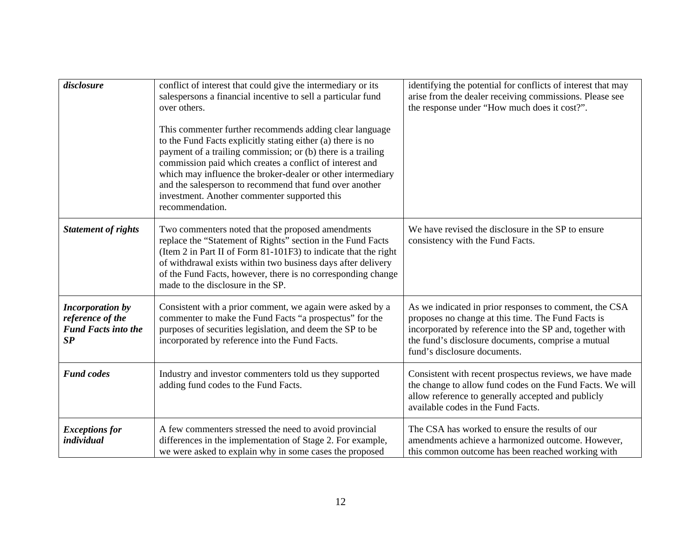| disclosure                                                                      | conflict of interest that could give the intermediary or its<br>salespersons a financial incentive to sell a particular fund<br>over others.<br>This commenter further recommends adding clear language<br>to the Fund Facts explicitly stating either (a) there is no<br>payment of a trailing commission; or (b) there is a trailing<br>commission paid which creates a conflict of interest and<br>which may influence the broker-dealer or other intermediary<br>and the salesperson to recommend that fund over another<br>investment. Another commenter supported this<br>recommendation. | identifying the potential for conflicts of interest that may<br>arise from the dealer receiving commissions. Please see<br>the response under "How much does it cost?".                                                                                        |
|---------------------------------------------------------------------------------|-------------------------------------------------------------------------------------------------------------------------------------------------------------------------------------------------------------------------------------------------------------------------------------------------------------------------------------------------------------------------------------------------------------------------------------------------------------------------------------------------------------------------------------------------------------------------------------------------|----------------------------------------------------------------------------------------------------------------------------------------------------------------------------------------------------------------------------------------------------------------|
| <b>Statement of rights</b>                                                      | Two commenters noted that the proposed amendments<br>replace the "Statement of Rights" section in the Fund Facts<br>(Item 2 in Part II of Form 81-101F3) to indicate that the right<br>of withdrawal exists within two business days after delivery<br>of the Fund Facts, however, there is no corresponding change<br>made to the disclosure in the SP.                                                                                                                                                                                                                                        | We have revised the disclosure in the SP to ensure<br>consistency with the Fund Facts.                                                                                                                                                                         |
| <b>Incorporation by</b><br>reference of the<br><b>Fund Facts into the</b><br>SP | Consistent with a prior comment, we again were asked by a<br>commenter to make the Fund Facts "a prospectus" for the<br>purposes of securities legislation, and deem the SP to be<br>incorporated by reference into the Fund Facts.                                                                                                                                                                                                                                                                                                                                                             | As we indicated in prior responses to comment, the CSA<br>proposes no change at this time. The Fund Facts is<br>incorporated by reference into the SP and, together with<br>the fund's disclosure documents, comprise a mutual<br>fund's disclosure documents. |
| <b>Fund codes</b>                                                               | Industry and investor commenters told us they supported<br>adding fund codes to the Fund Facts.                                                                                                                                                                                                                                                                                                                                                                                                                                                                                                 | Consistent with recent prospectus reviews, we have made<br>the change to allow fund codes on the Fund Facts. We will<br>allow reference to generally accepted and publicly<br>available codes in the Fund Facts.                                               |
| <b>Exceptions for</b><br>individual                                             | A few commenters stressed the need to avoid provincial<br>differences in the implementation of Stage 2. For example,<br>we were asked to explain why in some cases the proposed                                                                                                                                                                                                                                                                                                                                                                                                                 | The CSA has worked to ensure the results of our<br>amendments achieve a harmonized outcome. However,<br>this common outcome has been reached working with                                                                                                      |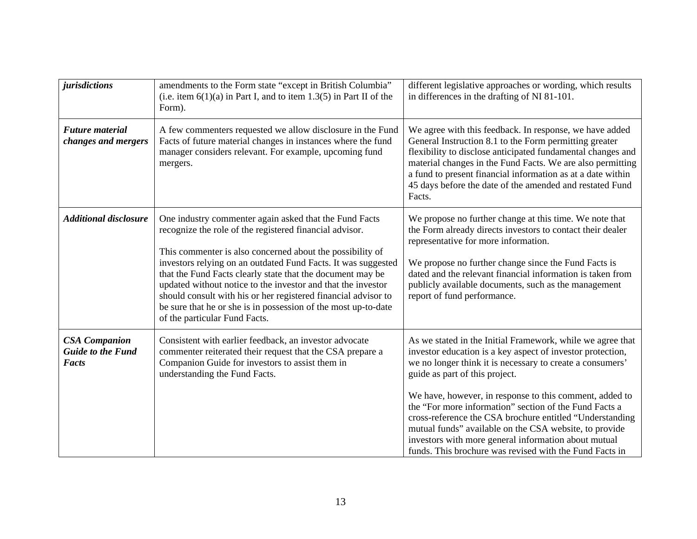| jurisdictions                                                    | amendments to the Form state "except in British Columbia"<br>(i.e. item $6(1)(a)$ in Part I, and to item 1.3(5) in Part II of the<br>Form).                                                                                                                                                                                                                                                                                                                                                                                                        | different legislative approaches or wording, which results<br>in differences in the drafting of NI 81-101.                                                                                                                                                                                                                                                                                                                                                                                                                                                                            |
|------------------------------------------------------------------|----------------------------------------------------------------------------------------------------------------------------------------------------------------------------------------------------------------------------------------------------------------------------------------------------------------------------------------------------------------------------------------------------------------------------------------------------------------------------------------------------------------------------------------------------|---------------------------------------------------------------------------------------------------------------------------------------------------------------------------------------------------------------------------------------------------------------------------------------------------------------------------------------------------------------------------------------------------------------------------------------------------------------------------------------------------------------------------------------------------------------------------------------|
| <b>Future</b> material<br>changes and mergers                    | A few commenters requested we allow disclosure in the Fund<br>Facts of future material changes in instances where the fund<br>manager considers relevant. For example, upcoming fund<br>mergers.                                                                                                                                                                                                                                                                                                                                                   | We agree with this feedback. In response, we have added<br>General Instruction 8.1 to the Form permitting greater<br>flexibility to disclose anticipated fundamental changes and<br>material changes in the Fund Facts. We are also permitting<br>a fund to present financial information as at a date within<br>45 days before the date of the amended and restated Fund<br>Facts.                                                                                                                                                                                                   |
| <b>Additional disclosure</b>                                     | One industry commenter again asked that the Fund Facts<br>recognize the role of the registered financial advisor.<br>This commenter is also concerned about the possibility of<br>investors relying on an outdated Fund Facts. It was suggested<br>that the Fund Facts clearly state that the document may be<br>updated without notice to the investor and that the investor<br>should consult with his or her registered financial advisor to<br>be sure that he or she is in possession of the most up-to-date<br>of the particular Fund Facts. | We propose no further change at this time. We note that<br>the Form already directs investors to contact their dealer<br>representative for more information.<br>We propose no further change since the Fund Facts is<br>dated and the relevant financial information is taken from<br>publicly available documents, such as the management<br>report of fund performance.                                                                                                                                                                                                            |
| <b>CSA</b> Companion<br><b>Guide to the Fund</b><br><b>Facts</b> | Consistent with earlier feedback, an investor advocate<br>commenter reiterated their request that the CSA prepare a<br>Companion Guide for investors to assist them in<br>understanding the Fund Facts.                                                                                                                                                                                                                                                                                                                                            | As we stated in the Initial Framework, while we agree that<br>investor education is a key aspect of investor protection,<br>we no longer think it is necessary to create a consumers'<br>guide as part of this project.<br>We have, however, in response to this comment, added to<br>the "For more information" section of the Fund Facts a<br>cross-reference the CSA brochure entitled "Understanding<br>mutual funds" available on the CSA website, to provide<br>investors with more general information about mutual<br>funds. This brochure was revised with the Fund Facts in |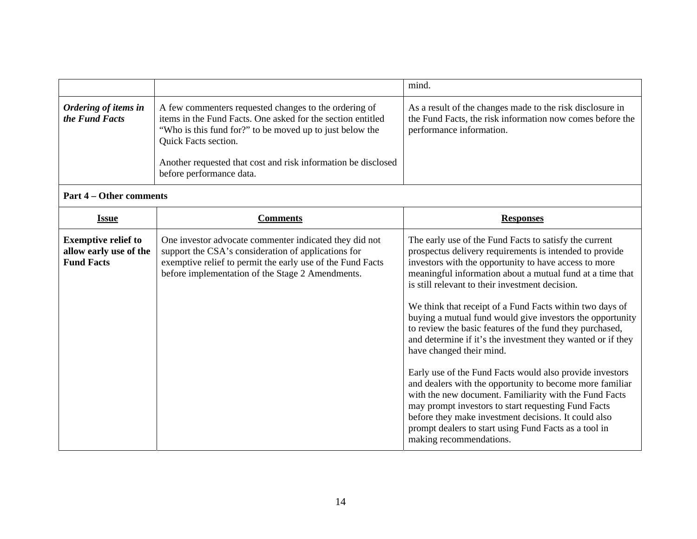|                                                                           |                                                                                                                                                                                                                                                                                                       | mind.                                                                                                                                                                                                                                                                                                                                                                                                                                                                                                                                                                                                                                                                                                                                                                                                                                                                                                                                |  |  |
|---------------------------------------------------------------------------|-------------------------------------------------------------------------------------------------------------------------------------------------------------------------------------------------------------------------------------------------------------------------------------------------------|--------------------------------------------------------------------------------------------------------------------------------------------------------------------------------------------------------------------------------------------------------------------------------------------------------------------------------------------------------------------------------------------------------------------------------------------------------------------------------------------------------------------------------------------------------------------------------------------------------------------------------------------------------------------------------------------------------------------------------------------------------------------------------------------------------------------------------------------------------------------------------------------------------------------------------------|--|--|
| Ordering of items in<br>the Fund Facts                                    | A few commenters requested changes to the ordering of<br>items in the Fund Facts. One asked for the section entitled<br>"Who is this fund for?" to be moved up to just below the<br>Quick Facts section.<br>Another requested that cost and risk information be disclosed<br>before performance data. | As a result of the changes made to the risk disclosure in<br>the Fund Facts, the risk information now comes before the<br>performance information.                                                                                                                                                                                                                                                                                                                                                                                                                                                                                                                                                                                                                                                                                                                                                                                   |  |  |
| <b>Part 4 – Other comments</b>                                            |                                                                                                                                                                                                                                                                                                       |                                                                                                                                                                                                                                                                                                                                                                                                                                                                                                                                                                                                                                                                                                                                                                                                                                                                                                                                      |  |  |
| <b>Issue</b>                                                              | <b>Comments</b>                                                                                                                                                                                                                                                                                       | <b>Responses</b>                                                                                                                                                                                                                                                                                                                                                                                                                                                                                                                                                                                                                                                                                                                                                                                                                                                                                                                     |  |  |
| <b>Exemptive relief to</b><br>allow early use of the<br><b>Fund Facts</b> | One investor advocate commenter indicated they did not<br>support the CSA's consideration of applications for<br>exemptive relief to permit the early use of the Fund Facts<br>before implementation of the Stage 2 Amendments.                                                                       | The early use of the Fund Facts to satisfy the current<br>prospectus delivery requirements is intended to provide<br>investors with the opportunity to have access to more<br>meaningful information about a mutual fund at a time that<br>is still relevant to their investment decision.<br>We think that receipt of a Fund Facts within two days of<br>buying a mutual fund would give investors the opportunity<br>to review the basic features of the fund they purchased,<br>and determine if it's the investment they wanted or if they<br>have changed their mind.<br>Early use of the Fund Facts would also provide investors<br>and dealers with the opportunity to become more familiar<br>with the new document. Familiarity with the Fund Facts<br>may prompt investors to start requesting Fund Facts<br>before they make investment decisions. It could also<br>prompt dealers to start using Fund Facts as a tool in |  |  |

making recommendations.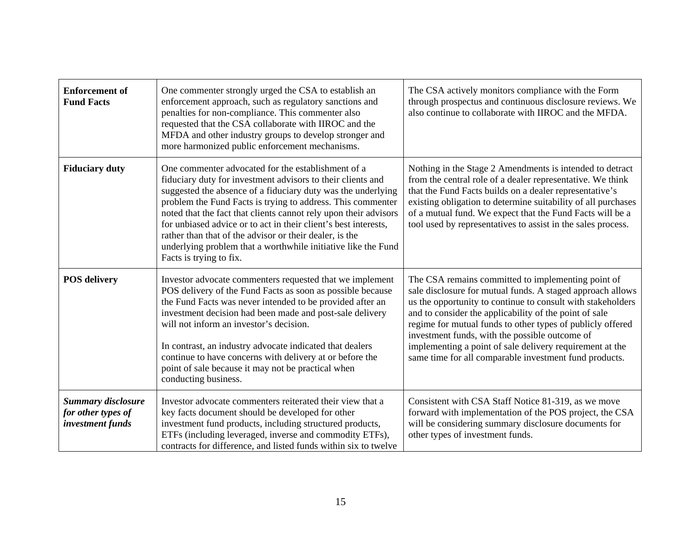| <b>Enforcement</b> of<br><b>Fund Facts</b>                          | One commenter strongly urged the CSA to establish an<br>enforcement approach, such as regulatory sanctions and<br>penalties for non-compliance. This commenter also<br>requested that the CSA collaborate with IIROC and the<br>MFDA and other industry groups to develop stronger and<br>more harmonized public enforcement mechanisms.                                                                                                                                                                                                       | The CSA actively monitors compliance with the Form<br>through prospectus and continuous disclosure reviews. We<br>also continue to collaborate with IIROC and the MFDA.                                                                                                                                                                                                                                                                                                         |
|---------------------------------------------------------------------|------------------------------------------------------------------------------------------------------------------------------------------------------------------------------------------------------------------------------------------------------------------------------------------------------------------------------------------------------------------------------------------------------------------------------------------------------------------------------------------------------------------------------------------------|---------------------------------------------------------------------------------------------------------------------------------------------------------------------------------------------------------------------------------------------------------------------------------------------------------------------------------------------------------------------------------------------------------------------------------------------------------------------------------|
| <b>Fiduciary duty</b>                                               | One commenter advocated for the establishment of a<br>fiduciary duty for investment advisors to their clients and<br>suggested the absence of a fiduciary duty was the underlying<br>problem the Fund Facts is trying to address. This commenter<br>noted that the fact that clients cannot rely upon their advisors<br>for unbiased advice or to act in their client's best interests,<br>rather than that of the advisor or their dealer, is the<br>underlying problem that a worthwhile initiative like the Fund<br>Facts is trying to fix. | Nothing in the Stage 2 Amendments is intended to detract<br>from the central role of a dealer representative. We think<br>that the Fund Facts builds on a dealer representative's<br>existing obligation to determine suitability of all purchases<br>of a mutual fund. We expect that the Fund Facts will be a<br>tool used by representatives to assist in the sales process.                                                                                                 |
| <b>POS</b> delivery                                                 | Investor advocate commenters requested that we implement<br>POS delivery of the Fund Facts as soon as possible because<br>the Fund Facts was never intended to be provided after an<br>investment decision had been made and post-sale delivery<br>will not inform an investor's decision.<br>In contrast, an industry advocate indicated that dealers<br>continue to have concerns with delivery at or before the<br>point of sale because it may not be practical when<br>conducting business.                                               | The CSA remains committed to implementing point of<br>sale disclosure for mutual funds. A staged approach allows<br>us the opportunity to continue to consult with stakeholders<br>and to consider the applicability of the point of sale<br>regime for mutual funds to other types of publicly offered<br>investment funds, with the possible outcome of<br>implementing a point of sale delivery requirement at the<br>same time for all comparable investment fund products. |
| <b>Summary disclosure</b><br>for other types of<br>investment funds | Investor advocate commenters reiterated their view that a<br>key facts document should be developed for other<br>investment fund products, including structured products,<br>ETFs (including leveraged, inverse and commodity ETFs),<br>contracts for difference, and listed funds within six to twelve                                                                                                                                                                                                                                        | Consistent with CSA Staff Notice 81-319, as we move<br>forward with implementation of the POS project, the CSA<br>will be considering summary disclosure documents for<br>other types of investment funds.                                                                                                                                                                                                                                                                      |